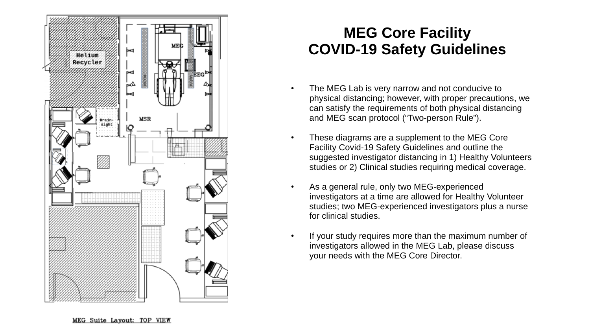

## **MEG Core Facility COVID-19 Safety Guidelines**

- The MEG Lab is very narrow and not conducive to physical distancing; however, with proper precautions, we can satisfy the requirements of both physical distancing and MEG scan protocol ("Two-person Rule").
- These diagrams are a supplement to the MEG Core Facility Covid-19 Safety Guidelines and outline the suggested investigator distancing in 1) Healthy Volunteers studies or 2) Clinical studies requiring medical coverage.
- As a general rule, only two MEG-experienced investigators at a time are allowed for Healthy Volunteer studies; two MEG-experienced investigators plus a nurse for clinical studies.
- If your study requires more than the maximum number of investigators allowed in the MEG Lab, please discuss your needs with the MEG Core Director.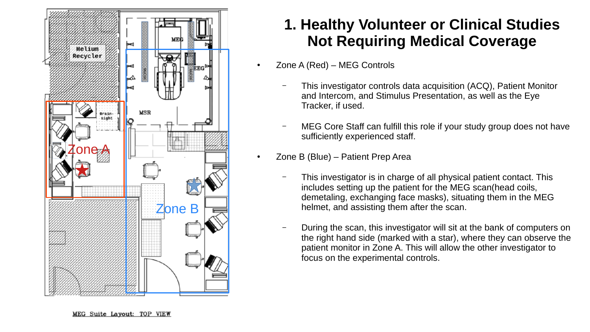

## **1. Healthy Volunteer or Clinical Studies Not Requiring Medical Coverage**

- Zone A (Red) MEG Controls
	- This investigator controls data acquisition (ACQ), Patient Monitor and Intercom, and Stimulus Presentation, as well as the Eye Tracker, if used.
	- MEG Core Staff can fulfill this role if your study group does not have sufficiently experienced staff.
- Zone B (Blue) Patient Prep Area
	- This investigator is in charge of all physical patient contact. This includes setting up the patient for the MEG scan(head coils, demetaling, exchanging face masks), situating them in the MEG helmet, and assisting them after the scan.
	- During the scan, this investigator will sit at the bank of computers on the right hand side (marked with a star), where they can observe the patient monitor in Zone A. This will allow the other investigator to focus on the experimental controls.